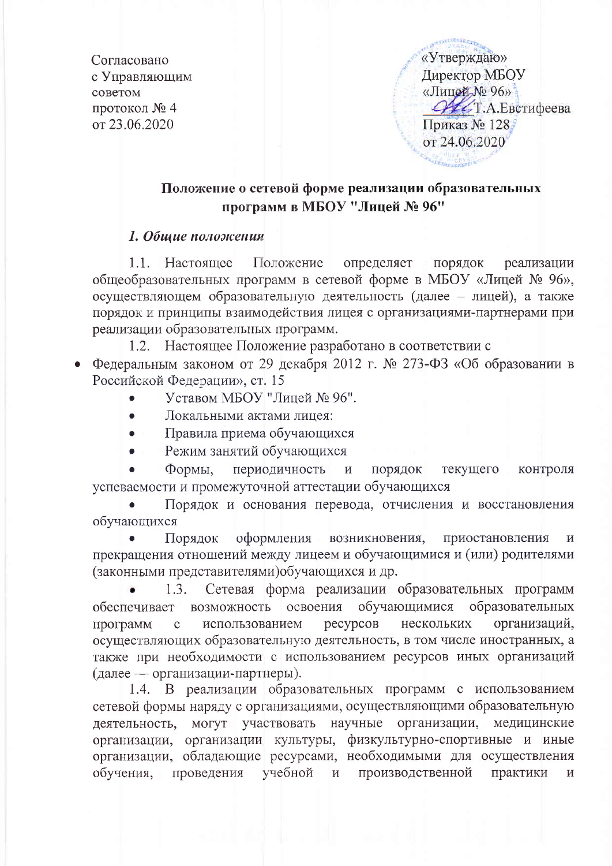Согласовано с Управляющим советом протокол № 4 от 23.06.2020

«Утверждаю» **Лиректор МБОУ** «Лицей № 96» ОДСТ.А.Евстифеева Приказ № 128 от 24.06.2020

## Положение о сетевой форме реализации образовательных программ в МБОУ "Лицей № 96"

### 1. Общие положения

1.1. Настоящее Положение определяет порядок реализации общеобразовательных программ в сетевой форме в МБОУ «Лицей № 96», осуществляющем образовательную деятельность (далее - лицей), а также порядок и принципы взаимодействия лицея с организациями-партнерами при реализации образовательных программ.

1.2. Настоящее Положение разработано в соответствии с

- Федеральным законом от 29 декабря 2012 г. № 273-ФЗ «Об образовании в Российской Фелерации», ст. 15
	- Уставом МБОУ "Лицей № 96".
	- Локальными актами лицея:
	- Правила приема обучающихся
	- Режим занятий обучающихся

Формы. периодичность  $\overline{M}$ порядок текущего контроля успеваемости и промежуточной аттестации обучающихся

Порядок и основания перевода, отчисления и восстановления обучающихся

Порядок оформления возникновения, приостановления  $\overline{M}$ прекращения отношений между лицеем и обучающимися и (или) родителями (законными представителями)обучающихся и др.

Сетевая форма реализации образовательных программ  $1.3.$ обеспечивает возможность освоения обучающимися образовательных нескольких организаций, программ  $\mathbf{C}$ использованием ресурсов осуществляющих образовательную деятельность, в том числе иностранных, а также при необходимости с использованием ресурсов иных организаций (далее — организации-партнеры).

1.4. В реализации образовательных программ с использованием сетевой формы наряду с организациями, осуществляющими образовательную деятельность, могут участвовать научные организации, медицинские организации, организации культуры, физкультурно-спортивные и иные организации, обладающие ресурсами, необходимыми для осуществления обучения. проведения учебной производственной практики  $\,$  M  $\,$  $\overline{M}$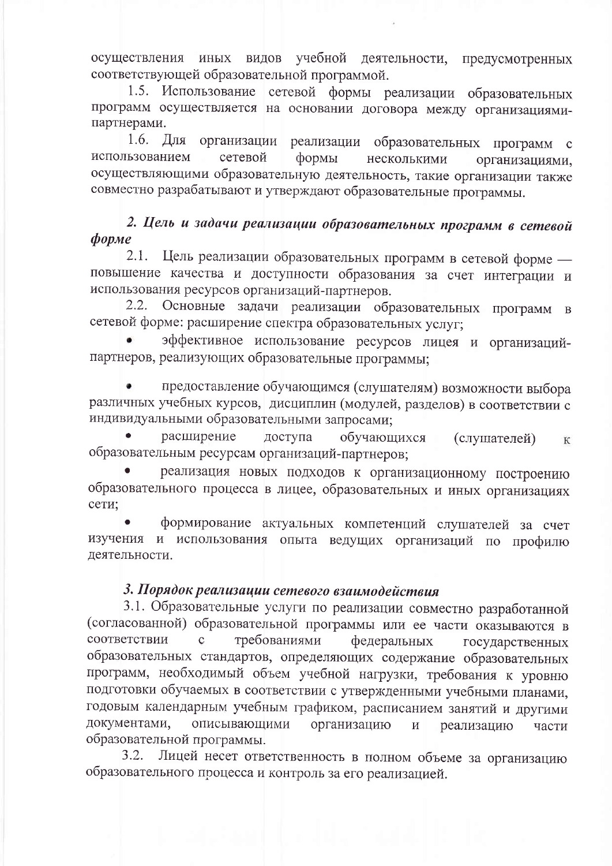видов учебной деятельности, предусмотренных осуществления иных соответствующей образовательной программой.

1.5. Использование сетевой формы реализации образовательных программ осуществляется на основании договора между организациямипартнерами.

1.6. Для организации реализации образовательных программ с использованием сетевой формы несколькими организациями. осуществляющими образовательную деятельность, такие организации также совместно разрабатывают и утверждают образовательные программы.

# 2. Цель и задачи реализации образовательных программ в сетевой  $\boldsymbol{\phi}$ opme

Цель реализации образовательных программ в сетевой форме - $2.1.$ повышение качества и доступности образования за счет интеграции и использования ресурсов организаций-партнеров.

Основные задачи реализации образовательных программ в  $2.2.$ сетевой форме: расширение спектра образовательных услуг;

эффективное использование ресурсов лицея и организацийпартнеров, реализующих образовательные программы;

предоставление обучающимся (слушателям) возможности выбора различных учебных курсов, дисциплин (модулей, разделов) в соответствии с индивидуальными образовательными запросами;

расширение доступа обучающихся (слушателей)  $K$ образовательным ресурсам организаций-партнеров;

реализация новых подходов к организационному построению образовательного процесса в лицее, образовательных и иных организациях сети:

формирование актуальных компетенций слушателей за счет изучения и использования опыта ведущих организаций по профилю деятельности.

### 3. Порядок реализации сетевого взаимодействия

3.1. Образовательные услуги по реализации совместно разработанной (согласованной) образовательной программы или ее части оказываются в соответствии требованиями  $\mathbf{C}$ федеральных государственных образовательных стандартов, определяющих содержание образовательных программ, необходимый объем учебной нагрузки, требования к уровню подготовки обучаемых в соответствии с утвержденными учебными планами, годовым календарным учебным графиком, расписанием занятий и другими документами, описывающими организацию  $\overline{M}$ реализацию части образовательной программы.

Лицей несет ответственность в полном объеме за организацию 3.2. образовательного процесса и контроль за его реализацией.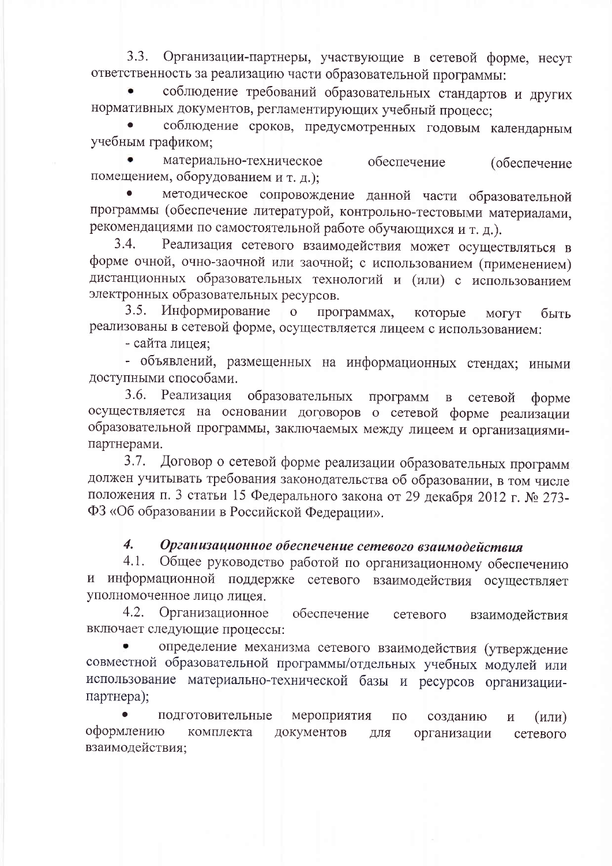$3.3.$ Организации-партнеры, участвующие в сетевой форме, несут ответственность за реализацию части образовательной программы:

соблюдение требований образовательных стандартов и других нормативных документов, регламентирующих учебный процесс;

соблюдение сроков, предусмотренных годовым календарным учебным графиком;

материально-техническое обеспечение (обеспечение помещением, оборудованием и т. д.);

методическое сопровождение данной части образовательной программы (обеспечение литературой, контрольно-тестовыми материалами, рекомендациями по самостоятельной работе обучающихся и т. д.).

 $3.4.$ Реализация сетевого взаимодействия может осуществляться в форме очной, очно-заочной или заочной; с использованием (применением) дистанционных образовательных технологий и (или) с использованием электронных образовательных ресурсов.

3.5. Информирование  $\overline{O}$ программах, которые МОГУТ быть реализованы в сетевой форме, осуществляется лицеем с использованием:

- сайта лицея;

- объявлений, размещенных на информационных стендах; иными доступными способами.

3.6. Реализация образовательных программ  $\, {\bf B}$ сетевой  $\phi$ opme осуществляется на основании договоров о сетевой форме реализации образовательной программы, заключаемых между лицеем и организациямипартнерами.

Договор о сетевой форме реализации образовательных программ  $3.7.$ должен учитывать требования законодательства об образовании, в том числе положения п. 3 статьи 15 Федерального закона от 29 декабря 2012 г. № 273-ФЗ «Об образовании в Российской Федерации».

#### 4. Организационное обеспечение сетевого взаимодействия

Общее руководство работой по организационному обеспечению  $4.1.$ и информационной поддержке сетевого взаимодействия осуществляет уполномоченное лицо лицея.

 $4.2.$ Организационное обеспечение сетевого взаимодействия включает следующие процессы:

определение механизма сетевого взаимодействия (утверждение совместной образовательной программы/отдельных учебных модулей или использование материально-технической базы и ресурсов организациипартнера);

подготовительные мероприятия  $\Pi$ <sup>O</sup> созданию  $\overline{M}$  $(MJH)$ оформлению комплекта документов ДЛЯ организации сетевого взаимодействия;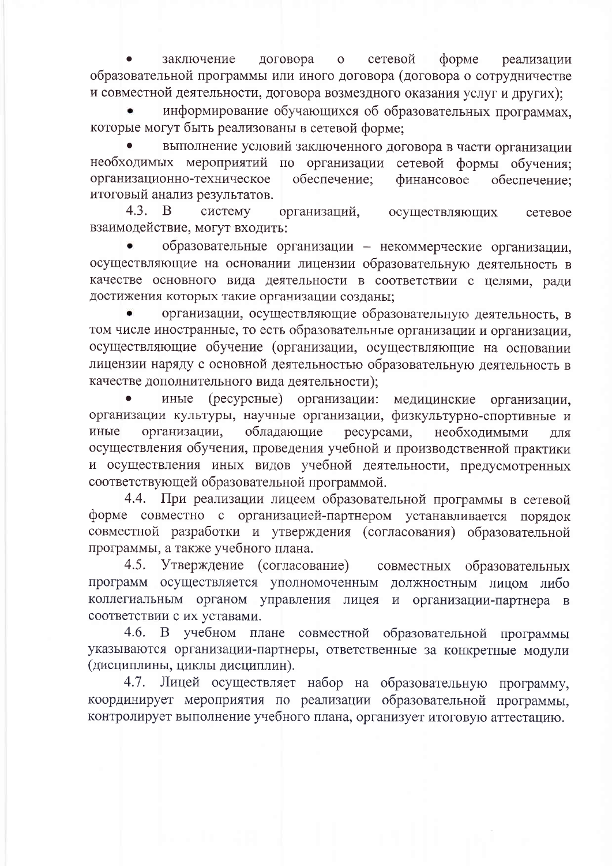заключение договора сетевой  $\phi$ opme  $\mathbf{O}$ реализации образовательной программы или иного договора (договора о сотрудничестве и совместной деятельности, договора возмездного оказания услуг и других);

информирование обучающихся об образовательных программах. которые могут быть реализованы в сетевой форме;

выполнение условий заключенного договора в части организации необходимых мероприятий по организации сетевой формы обучения; организационно-техническое обеспечение; финансовое обеспечение: итоговый анализ результатов.

систему  $4.3.$ B. организаций, осуществляющих сетевое взаимодействие, могут входить:

образовательные организации - некоммерческие организации, осуществляющие на основании лицензии образовательную деятельность в качестве основного вида деятельности в соответствии с целями, ради достижения которых такие организации созданы;

организации, осуществляющие образовательную деятельность, в том числе иностранные, то есть образовательные организации и организации, осуществляющие обучение (организации, осуществляющие на основании лицензии наряду с основной деятельностью образовательную деятельность в качестве дополнительного вида деятельности);

иные (ресурсные) организации: медицинские организации, организации культуры, научные организации, физкультурно-спортивные и организации, обладающие иные ресурсами, необходимыми ДЛЯ осуществления обучения, проведения учебной и производственной практики и осуществления иных видов учебной деятельности, предусмотренных соответствующей образовательной программой.

4.4. При реализации лицеем образовательной программы в сетевой форме совместно с организацией-партнером устанавливается порядок совместной разработки и утверждения (согласования) образовательной программы, а также учебного плана.

4.5. Утверждение (согласование) совместных образовательных программ осуществляется уполномоченным должностным лицом либо коллегиальным органом управления лицея и организации-партнера в соответствии с их уставами.

учебном плане совместной образовательной программы  $4.6.$  $\mathbf{B}$ указываются организации-партнеры, ответственные за конкретные модули (дисциплины, циклы дисциплин).

4.7. Лицей осуществляет набор на образовательную программу, координирует мероприятия по реализации образовательной программы. контролирует выполнение учебного плана, организует итоговую аттестацию.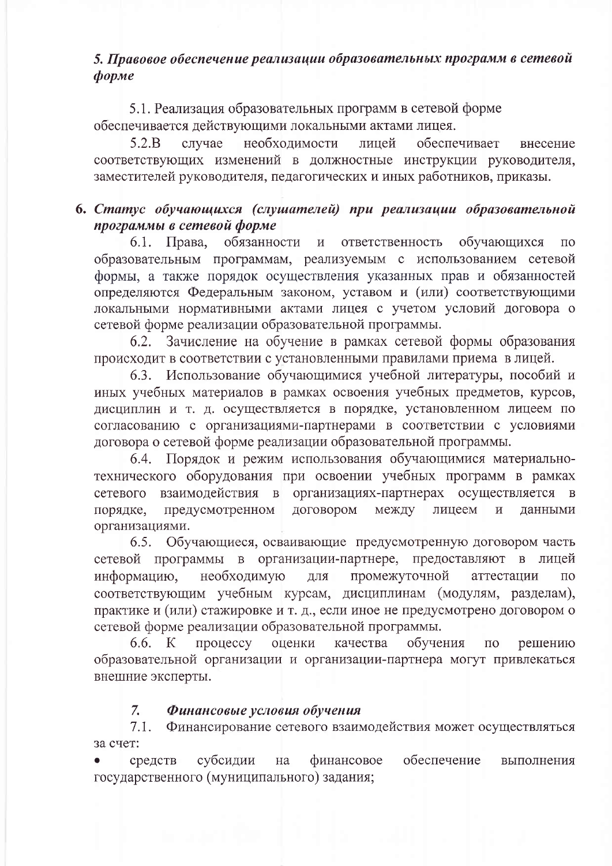## 5. Правовое обеспечение реализации образовательных программ в сетевой форме

5.1. Реализация образовательных программ в сетевой форме обеспечивается действующими локальными актами лицея.

 $5.2.B$ случае необходимости обеспечивает лицей внесение соответствующих изменений в должностные инструкции руководителя, заместителей руководителя, педагогических и иных работников, приказы.

### 6. Статус обучающихся (слушателей) при реализации образовательной программы в сетевой форме

6.1. Права, обязанности и ответственность обучающихся  $\Pi$ O образовательным программам, реализуемым с использованием сетевой формы, а также порядок осуществления указанных прав и обязанностей определяются Федеральным законом, уставом и (или) соответствующими локальными нормативными актами лицея с учетом условий договора о сетевой форме реализации образовательной программы.

6.2. Зачисление на обучение в рамках сетевой формы образования происходит в соответствии с установленными правилами приема в лицей.

Использование обучающимися учебной литературы, пособий и 6.3. иных учебных материалов в рамках освоения учебных предметов, курсов, дисциплин и т. д. осуществляется в порядке, установленном лицеем по согласованию с организациями-партнерами в соответствии с условиями договора о сетевой форме реализации образовательной программы.

Порядок и режим использования обучающимися материально-6.4. технического оборудования при освоении учебных программ в рамках взаимодействия в организациях-партнерах осуществляется в сетевого порядке, предусмотренном договором между лицеем данными  $\mathbf{M}$ организациями.

Обучающиеся, осваивающие предусмотренную договором часть  $6.5.$ сетевой программы в организации-партнере, предоставляют в лицей необходимую промежуточной информацию, ДЛЯ аттестации  $\Pi$ <sup>O</sup> соответствующим учебным курсам, дисциплинам (модулям, разделам), практике и (или) стажировке и т. д., если иное не предусмотрено договором о сетевой форме реализации образовательной программы.

процессу оценки обучения 6.6. K качества  $\overline{110}$ решению образовательной организации и организации-партнера могут привлекаться внешние эксперты.

#### $7.$ Финансовые условия обучения

 $7.1.$ Финансирование сетевого взаимодействия может осуществляться за счет:

субсидии финансовое обеспечение средств на выполнения государственного (муниципального) задания;